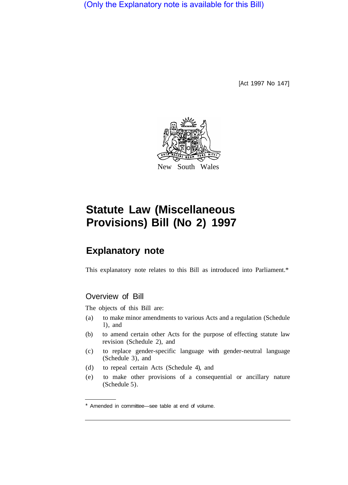(Only the Explanatory note is available for this Bill)

[Act 1997 No 147]



# **Statute Law (Miscellaneous Provisions) Bill (No 2) 1997**

## **Explanatory note**

This explanatory note relates to this Bill as introduced into Parliament.\*

## Overview of Bill

The objects of this Bill are:

- (a) to make minor amendments to various Acts and a regulation (Schedule l), and
- (b) to amend certain other Acts for the purpose of effecting statute law revision (Schedule 2), and
- (c) to replace gender-specific language with gender-neutral language (Schedule 3), and
- (d) to repeal certain Acts (Schedule 4), and
- (e) to make other provisions of a consequential or ancillary nature (Schedule 5).

<sup>\*</sup> Amended in committee—see table at end of volume.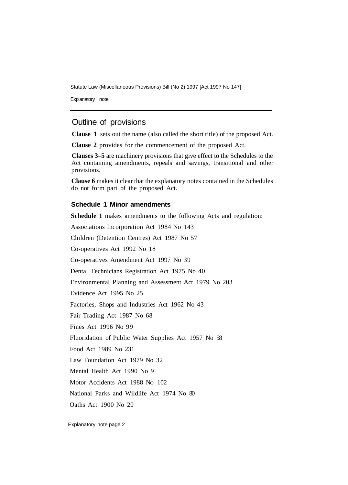Statute Law (Miscellaneous Provisions) Bill (No 2) 1997 [Act 1997 No 147]

Explanatory note

### Outline of provisions

**Clause 1** sets out the name (also called the short title) of the proposed Act.

**Clause 2** provides for the commencement of the proposed Act.

**Clauses 3–5** are machinery provisions that give effect to the Schedules to the Act containing amendments, repeals and savings, transitional and other provisions.

**Clause 6** makes it clear that the explanatory notes contained in the Schedules do not form part of the proposed Act.

#### **Schedule 1 Minor amendments**

**Schedule 1** makes amendments to the following Acts and regulation: Associations Incorporation Act 1984 No 143

Children (Detention Centres) Act 1987 No 57

Co-operatives Act 1992 No 18

Co-operatives Amendment Act 1997 No 39

Dental Technicians Registration Act 1975 No 40

Environmental Planning and Assessment Act 1979 No 203

Evidence Act 1995 No 25

Factories, Shops and Industries Act 1962 No 43

Fair Trading Act 1987 No 68

Fines Act 1996 No 99

Fluoridation of Public Water Supplies Act 1957 No 58

Food Act 1989 No 231

Law Foundation Act 1979 No 32

Mental Health Act 1990 No 9

Motor Accidents Act 1988 No 102

National Parks and Wildlife Act 1974 No 80

Oaths Act 1900 No 20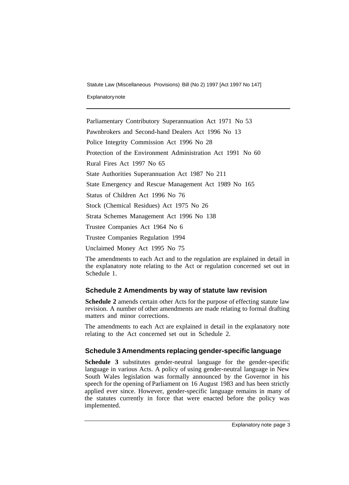Statute Law (Miscellaneous Provisions) Bill (No 2) 1997 [Act 1997 No 147]

Explanatory note

Parliamentary Contributory Superannuation Act 1971 No 53 Pawnbrokers and Second-hand Dealers Act 1996 No 13 Police Integrity Commission Act 1996 No 28 Protection of the Environment Administration Act 1991 No 60 Rural Fires Act 1997 No 65 State Authorities Superannuation Act 1987 No 211 State Emergency and Rescue Management Act 1989 No 165 Status of Children Act 1996 No 76 Stock (Chemical Residues) Act 1975 No 26 Strata Schemes Management Act 1996 No 138 Trustee Companies Act 1964 No 6 Trustee Companies Regulation 1994 Unclaimed Money Act 1995 No 75

The amendments to each Act and to the regulation are explained in detail in the explanatory note relating to the Act or regulation concerned set out in Schedule 1.

## **Schedule 2 Amendments by way of statute law revision**

**Schedule 2** amends certain other Acts for the purpose of effecting statute law revision. A number of other amendments are made relating to formal drafting matters and minor corrections.

The amendments to each Act are explained in detail in the explanatory note relating to the Act concerned set out in Schedule 2.

## **Schedule 3 Amendments replacing gender-specific language**

**Schedule 3** substitutes gender-neutral language for the gender-specific language in various Acts. A policy of using gender-neutral language in New South Wales legislation was formally announced by the Governor in his speech for the opening of Parliament on 16 August 1983 and has been strictly applied ever since. However, gender-specific language remains in many of the statutes currently in force that were enacted before the policy was implemented.